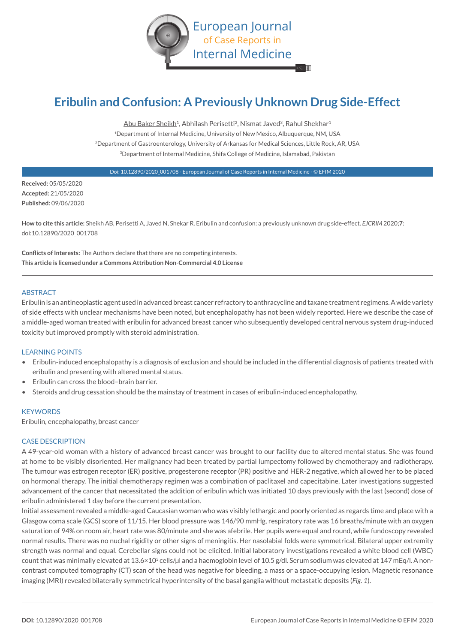

# **Eribulin and Confusion: A Previously Unknown Drug Side-Effect**

Abu Baker Sheikh<sup>1</sup>, Abhilash Perisetti<sup>2</sup>, Nismat Javed<sup>3</sup>, Rahul Shekhar<sup>1</sup> <sup>1</sup>Department of Internal Medicine, University of New Mexico, Albuquerque, NM, USA 2Department of Gastroenterology, University of Arkansas for Medical Sciences, Little Rock, AR, USA 3Department of Internal Medicine, Shifa College of Medicine, Islamabad, Pakistan

Doi: 10.12890/2020\_001708 - European Journal of Case Reports in Internal Medicine - © EFIM 2020

**Received:** 05/05/2020 **Accepted:** 21/05/2020 **Published:** 09/06/2020

**How to cite this article:** Sheikh AB, Perisetti A, Javed N, Shekar R. Eribulin and confusion: a previously unknown drug side-effect. *EJCRIM* 2020;**7**: doi:10.12890/2020\_001708

**Conflicts of Interests:** The Authors declare that there are no competing interests. **This article is licensed under a Commons Attribution Non-Commercial 4.0 License**

## **ABSTRACT**

Eribulin is an antineoplastic agent used in advanced breast cancer refractory to anthracycline and taxane treatment regimens. A wide variety of side effects with unclear mechanisms have been noted, but encephalopathy has not been widely reported. Here we describe the case of a middle-aged woman treated with eribulin for advanced breast cancer who subsequently developed central nervous system drug-induced toxicity but improved promptly with steroid administration.

# LEARNING POINTS

- Eribulin-induced encephalopathy is a diagnosis of exclusion and should be included in the differential diagnosis of patients treated with eribulin and presenting with altered mental status.
- Eribulin can cross the blood–brain barrier.
- Steroids and drug cessation should be the mainstay of treatment in cases of eribulin-induced encephalopathy.

#### **KEYWORDS**

Eribulin, encephalopathy, breast cancer

#### CASE DESCRIPTION

A 49-year-old woman with a history of advanced breast cancer was brought to our facility due to altered mental status. She was found at home to be visibly disoriented. Her malignancy had been treated by partial lumpectomy followed by chemotherapy and radiotherapy. The tumour was estrogen receptor (ER) positive, progesterone receptor (PR) positive and HER-2 negative, which allowed her to be placed on hormonal therapy. The initial chemotherapy regimen was a combination of paclitaxel and capecitabine. Later investigations suggested advancement of the cancer that necessitated the addition of eribulin which was initiated 10 days previously with the last (second) dose of eribulin administered 1 day before the current presentation.

Initial assessment revealed a middle-aged Caucasian woman who was visibly lethargic and poorly oriented as regards time and place with a Glasgow coma scale (GCS) score of 11/15. Her blood pressure was 146/90 mmHg, respiratory rate was 16 breaths/minute with an oxygen saturation of 94% on room air, heart rate was 80/minute and she was afebrile. Her pupils were equal and round, while fundoscopy revealed normal results. There was no nuchal rigidity or other signs of meningitis. Her nasolabial folds were symmetrical. Bilateral upper extremity strength was normal and equal. Cerebellar signs could not be elicited. Initial laboratory investigations revealed a white blood cell (WBC) count that was minimally elevated at 13.6×10<sup>3</sup> cells/µl and a haemoglobin level of 10.5 g/dl. Serum sodium was elevated at 147 mEq/l. A noncontrast computed tomography (CT) scan of the head was negative for bleeding, a mass or a space-occupying lesion. Magnetic resonance imaging (MRI) revealed bilaterally symmetrical hyperintensity of the basal ganglia without metastatic deposits (*Fig. 1*).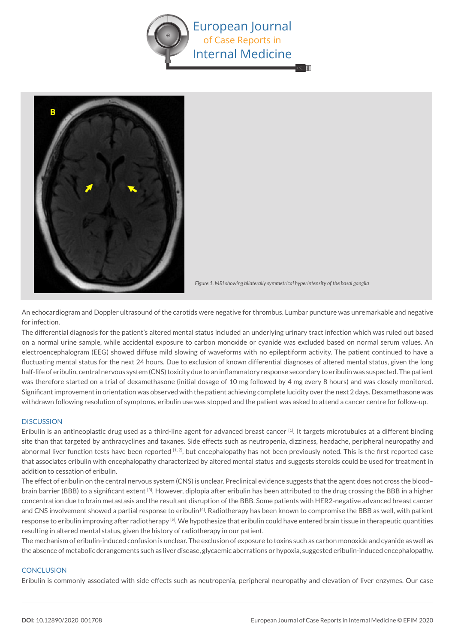



*Figure 1. MRI showing bilaterally symmetrical hyperintensity of the basal ganglia* 

An echocardiogram and Doppler ultrasound of the carotids were negative for thrombus. Lumbar puncture was unremarkable and negative for infection.

The differential diagnosis for the patient's altered mental status included an underlying urinary tract infection which was ruled out based on a normal urine sample, while accidental exposure to carbon monoxide or cyanide was excluded based on normal serum values. An electroencephalogram (EEG) showed diffuse mild slowing of waveforms with no epileptiform activity. The patient continued to have a fluctuating mental status for the next 24 hours. Due to exclusion of known differential diagnoses of altered mental status, given the long half-life of eribulin, central nervous system (CNS) toxicity due to an inflammatory response secondary to eribulin was suspected. The patient was therefore started on a trial of dexamethasone (initial dosage of 10 mg followed by 4 mg every 8 hours) and was closely monitored. Significant improvement in orientation was observed with the patient achieving complete lucidity over the next 2 days. Dexamethasone was withdrawn following resolution of symptoms, eribulin use was stopped and the patient was asked to attend a cancer centre for follow-up.

### **DISCUSSION**

Eribulin is an antineoplastic drug used as a third-line agent for advanced breast cancer [1]. It targets microtubules at a different binding site than that targeted by anthracyclines and taxanes. Side effects such as neutropenia, dizziness, headache, peripheral neuropathy and abnormal liver function tests have been reported  $[1, 2]$ , but encephalopathy has not been previously noted. This is the first reported case that associates eribulin with encephalopathy characterized by altered mental status and suggests steroids could be used for treatment in addition to cessation of eribulin.

The effect of eribulin on the central nervous system (CNS) is unclear. Preclinical evidence suggests that the agent does not cross the blood– brain barrier (BBB) to a significant extent [3]. However, diplopia after eribulin has been attributed to the drug crossing the BBB in a higher concentration due to brain metastasis and the resultant disruption of the BBB. Some patients with HER2-negative advanced breast cancer and CNS involvement showed a partial response to eribulin [4]. Radiotherapy has been known to compromise the BBB as well, with patient response to eribulin improving after radiotherapy [5]. We hypothesize that eribulin could have entered brain tissue in therapeutic quantities resulting in altered mental status, given the history of radiotherapy in our patient.

The mechanism of eribulin-induced confusion is unclear. The exclusion of exposure to toxins such as carbon monoxide and cyanide as well as the absence of metabolic derangements such as liver disease, glycaemic aberrations or hypoxia, suggested eribulin-induced encephalopathy.

# **CONCLUSION**

Eribulin is commonly associated with side effects such as neutropenia, peripheral neuropathy and elevation of liver enzymes. Our case